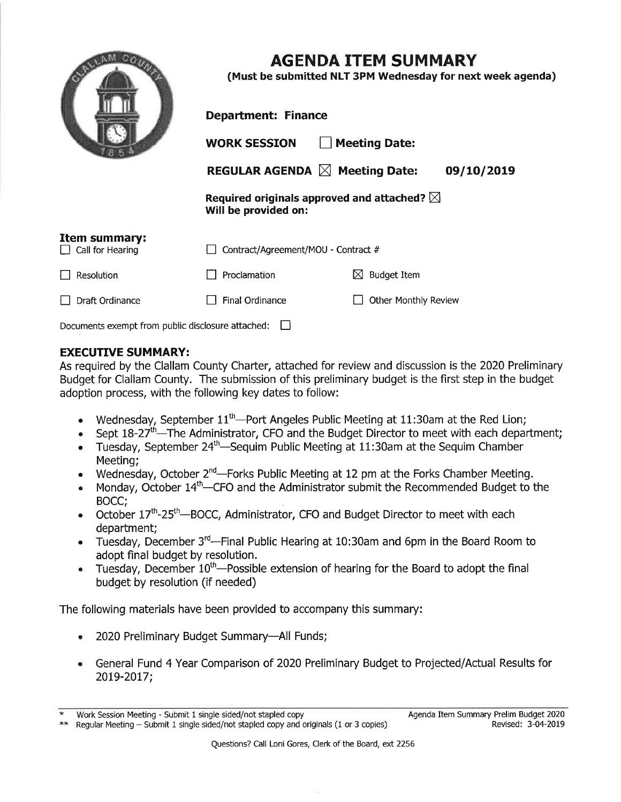|                                                   | <b>AGENDA ITEM SUMMARY</b><br>(Must be submitted NLT 3PM Wednesday for next week agenda) |                                 |
|---------------------------------------------------|------------------------------------------------------------------------------------------|---------------------------------|
|                                                   | <b>Department: Finance</b>                                                               |                                 |
|                                                   | <b>WORK SESSION</b>                                                                      | <b>Meeting Date:</b>            |
|                                                   | REGULAR AGENDA $\boxtimes$ Meeting Date:                                                 | 09/10/2019                      |
|                                                   | Required originals approved and attached? $\boxtimes$<br>Will be provided on:            |                                 |
| Item summary:<br>Call for Hearing                 | Contract/Agreement/MOU - Contract #                                                      |                                 |
| <b>Resolution</b>                                 | Proclamation                                                                             | <b>Budget Item</b><br>$\bowtie$ |
| Draft Ordinance                                   | <b>Final Ordinance</b>                                                                   | Other Monthly Review            |
| Documents exempt from public disclosure attached: |                                                                                          |                                 |

## **EXECUTIVE SUMMARY:**

As required by the Clallam County Charter, attached for review and discussion is the 2020 Preliminary Budget for Clallam County. The submission of this preliminary budget is the first step in the budget adoption process, with the following key dates to follow:

- Wednesday, September  $11<sup>th</sup>$ -Port Angeles Public Meeting at 11:30am at the Red Lion;
- Sept  $18-27<sup>th</sup>$ —The Administrator, CFO and the Budget Director to meet with each department;
- Tuesday, September 24<sup>th</sup>—Sequim Public Meeting at 11:30am at the Sequim Chamber Meeting;
- Wednesday, October  $2^{nd}$ —Forks Public Meeting at 12 pm at the Forks Chamber Meeting.
- $\bullet$  Monday, October 14<sup>th</sup>—CFO and the Administrator submit the Recommended Budget to the BOCC;
- October 17<sup>th</sup>-25<sup>th</sup>-BOCC, Administrator, CFO and Budget Director to meet with each department;
- Tuesday, December  $3^{rd}$ —Final Public Hearing at 10:30am and 6pm in the Board Room to adopt fìnal budget by resolution.
- $\bullet$  Tuesday, December 10<sup>th</sup>—Possible extension of hearing for the Board to adopt the final budget by resolution (if needed)

The following materials have been provided to accompany this summary:

- 2020 Preliminary Budget Summary-All Funds;
- <sup>a</sup> General Fund 4 Year Comparison of 2020 Preliminary Budget to Projected/Actual Results for 20t9-20L7;

<sup>\*</sup> Work Session Meeting - Submit 1 single sided/not stapled copy<br>\*\* Regular Meeting - Submit 1 single sided/not stapled copy and originals (1 or 3 copies)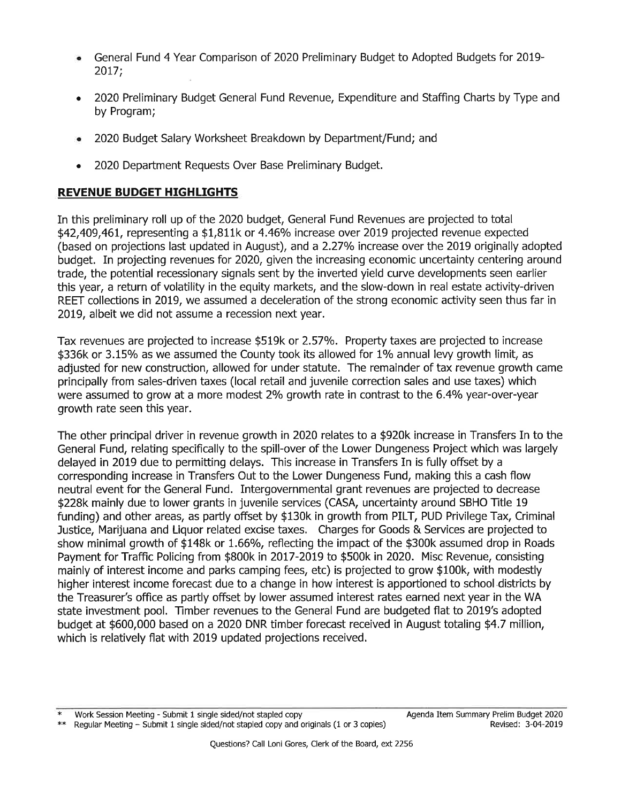- a General Fund 4 Year Comparison of 2020 Preliminary Budget to Adopted Budgets for 2019- 2017;
- a 2020 Preliminary Budget General Fund Revenue, Expenditure and Staffing Charts by Type and by Program;
- a 2020 Budget Salary Worksheet Breakdown by Department/Fund; and
- 2020 Department Requests Over Base Preliminary Budget.

## REVENUE BUDGET HIGHLIGHTS

In this preliminary roll up of the 2020 budget, General Fund Revenues are projected to total \$42,409,461, representing a \$1,811k or 4.46% increase over 2019 projected revenue expected (based on projections last updated in August), and a 2.27% increase over the 2019 originally adopted budget. In projecting revenues for 2020, given the increasing economic uncertainty centering around trade, the potential recessionary signals sent by the inverted yield curve developments seen earlier this year, a return of volatility in the equity markets, and the slow-down in real estate activity-driven REET collections in 2019, we assumed a deceleration of the strong economic activity seen thus far in 2019, albeit we did not assume a recession next year.

Tax revenues are projected to increase \$519k or 2.57%. Property taxes are projected to increase \$336k or 3.15% as we assumed the County took its allowed for 1% annual levy growth limit, as adjusted for new construction, allowed for under statute. The remainder of tax revenue growth came principally from sales-driven taxes (local retail and juvenile correction sales and use taxes) which were assumed to grow at a more modest 2% growth rate in contrast to the 6.4% year-over-year growth rate seen this year.

The other principal driver in revenue growth in 2020 relates to a \$920k increase in Transfers In to the General Fund, relating specifically to the spill-over of the Lower Dungeness Project which was largely delayed in 2019 due to permitting delays. This increase in Transfers In is fully offset by a corresponding increase in Transfers Out to the Lower Dungeness Fund, making this a cash flow neutral event for the General Fund. Intergovernmental grant revenues are projected to decrease \$228k mainly due to lower grants in juvenile services (CASA, uncertainty around SBHO Title <sup>19</sup> funding) and other areas, as partly offset by \$130k in growth from PILT, PUD Privilege Tax, Criminal Justice, Marijuana and Liquor related excise taxes. Charges for Goods & Services are projected to show minimal growth of \$148k or 1.66%, reflecting the impact of the \$300k assumed drop in Roads Payment for Traffic Policing from \$800k in 2017-2019 to \$500k in 2020. Misc Revenue, consisting mainly of interest income and parks camping fees, etc) is projected to grow \$100k, with modestly higher interest income forecast due to a change in how interest is apportioned to school districts by the Treasurer's offìce as partly offset by lower assumed interest rates earned next year in the WA state investment pool. Imber revenues to the General Fund are budgeted flat to 2019's adopted budget at \$600,000 based on a 2020 DNR timber forecast received in August totaling \$4.7 million, which is relatively flat with 2019 updated projections received.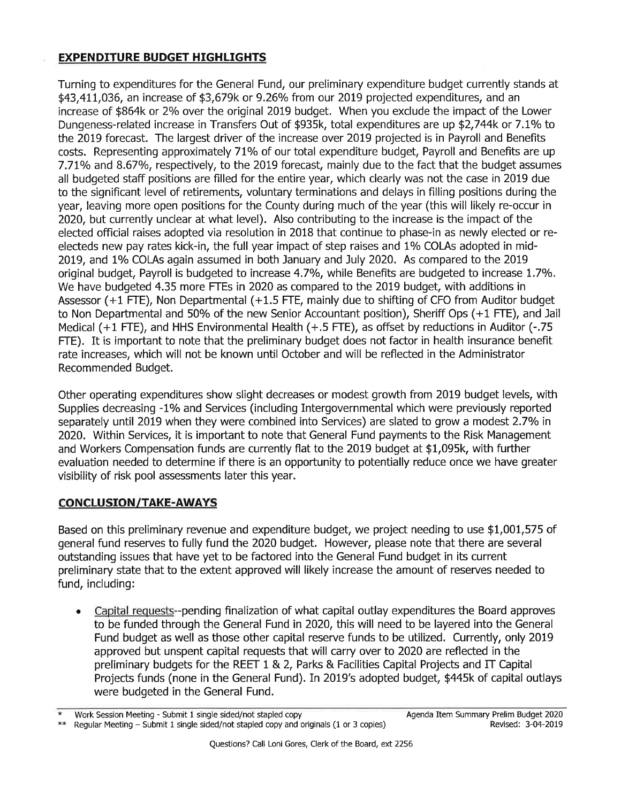## EXPENDITURE BUDGET HIGHLIGHTS

Turning to expenditures for the General Fund, our preliminary expenditure budget currently stands at  $$43,411,036$ , an increase of  $$3,679k$  or  $9.26\%$  from our 2019 projected expenditures, and an increase of \$864k or 2% over the original 2019 budget. When you exclude the impact of the Lower Dungeness-related increase in Transfers Out of \$935k, total expenditures are up \$2,744k or 7.1% to the 2019 forecast. The largest driver of the increase over 2019 projected is in Payroll and Benefits costs. Representing approximately 71% of our total expenditure budget, Payroll and Benefits are up 7.71% and 8.67%, respectively, to the 2019 forecast, mainly due to the fact that the budget assumes all budgeted staff positions are filled for the entire year, which clearly was not the case in 2019 due to the significant level of retirements, voluntary terminations and delays in filling positions during the year, leaving more open positions for the County during much of the year (this will likely re-occur in 2020, but currently unclear at what level). Also contributing to the increase is the impact of the elected official raises adopted via resolution in 2018 that continue to phase-in as newly elected or reelecteds new pay rates kick-in, the full year impact of step raises and 1% COLAs adopted in mid-2019, and 1% COLAs again assumed in both January and July 2020. As compared to the 2019 original budget, Payroll is budgeted to increase 4.7%, while Benefits are budgeted to increase 1.7%. We have budgeted 4.35 more FTEs in 2020 as compared to the 2019 budget, with additions in Assessor (+1 FTE), Non Departmental (+1.5 FTE, mainly due to shifting of CFO from Auditor budget to Non Departmental and 50% of the new Senior Accountant position), Sheriff Ops (+1 FTE), and Jail Medical (+1 FTE), and HHS Environmental Health (+.5 FTE), as offset by reductions in Auditor (-.75 FTE). It is important to note that the preliminary budget does not factor in health insurance benefit rate increases, which will not be known until October and will be reflected in the Administrator Recommended Budget.

Other operating expenditures show slight decreases or modest growth from 2019 budget levels, with Supplies decreasing -1% and Services (including Intergovernmental which were previously reported separately until 2019 when they were combined into Services) are slated to grow a modest 2.7% in 2020. Within Services, it is important to note that General Fund payments to the Risk Management and Workers Compensation funds are currently flat to the 2019 budget at \$1,095k, with further evaluation needed to determine if there is an opportunity to potentially reduce once we have greater visibility of risk pool assessments later this year.

## **CONCLUSION/TAKE-AWAYS**

Based on this preliminary revenue and expenditure budget, we project needing to use \$1,001,575 of general fund reseryes to fully fund the 2020 budget. However, please note that there are several outstanding issues that have yet to be factored into the General Fund budget in its current preliminary state that to the extent approved will likely increase the amount of reserues needed to fund, including:

Capital requests--pending finalization of what capital outlay expenditures the Board approves to be funded through the General Fund in 2020, this will need to be layered into the General Fund budget as well as those other capital reserve funds to be utilized. Currently, only 2019 approved but unspent capital requests that will carry over to 2020 are reflected in the preliminary budgets for the REET 1 & 2, Parks & Facilities Capital Projects and IT Capital Projects funds (none in the General Fund). In 2019's adopted budget, \$445k of capital outlays were budgeted in the General Fund. a

Work Session Meeting - Submit 1 single sided/not stapled copy

Regular Meeting - Submit 1 single sided/not stapled copy and originals (1 or 3 copies)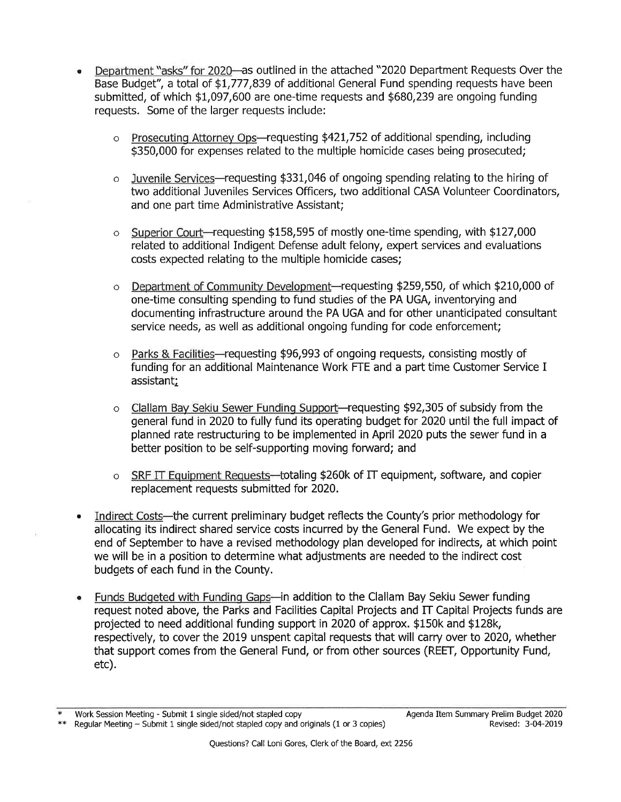- Department "asks" for 2020-as outlined in the attached "2020 Department Requests Over the Base Budget", a total of \$t,777,839 of additional General Fund spending requests have been submitted, of which \$1,097,600 are one-time requests and \$680,239 are ongoing funding requests. Some of the larger requests include:
	- $\circ$  Prosecuting Attorney Ops—requesting \$421,752 of additional spending, including \$350,000 for expenses related to the multiple homicide cases being prosecuted;
	- o Juvenile Seruices-requesting \$331,046 of ongoing spending relating to the hiring of two additional Juveniles Services Officers, two additional CASA Volunteer Coordinators, and one pat time Administrative Assistant;
	- $\circ$  Superior Court-requesting \$158,595 of mostly one-time spending, with \$127,000 related to additional Indigent Defense adult felony, expert services and evaluations costs expected relating to the multiple homicide cases;
	- $\circ$  Department of Community Development-requesting \$259,550, of which \$210,000 of one-time consulting spending to fund studies of the PA UGA, inventorying and documenting infrastructure around the PA UGA and for other unanticipated consultant service needs, as well as additional ongoing funding for code enforcement;
	- o Parks & Facilities-requesting \$96,993 of ongoing requests, consisting mostly of funding for an additional Maintenance Work FTE and a part time Customer Service I assistant;
	- o Clallam Bay Sekiu Sewer Funding Support-requesting \$92,305 of subsidy from the general fund in 2020 to fully fund its operating budget for 2020 until the full impact of planned rate restructuring to be implemented in April 2020 puts the sewer fund in a better position to be self-supporting moving forward; and
	- $\circ$  SRF IT Equipment Requests—totaling \$260k of IT equipment, software, and copier replacement requests submitted for 2020.
- Indirect Costs—the current preliminary budget reflects the County's prior methodology for allocating its indirect shared service costs incurred by the General Fund. We expect by the end of September to have a revised methodology plan developed for indirects, at which point we will be in a position to determine what adjustments are needed to the indirect cost budgets of each fund in the County. a
- Funds Budgeted with Funding Gaps-in addition to the Clallam Bay Sekiu Sewer funding request noted above, the Parks and Facilities Capital Projects and IT Capital Projects funds are projected to need additional funding support in 2020 of approx. \$150k and \$128K respectively, to cover the 2019 unspent capital requests that will carry over to 2020, whether that support comes from the General Fund, or from other sources (REET, Opportunity Fund, etc).

<sup>\*</sup> Work Session Meeting - Submit 1 single sided/not stapled copy \*\*<br>\*\* Regular Meeting – Submit 1 single sided/not stapled copy and originals (1 or 3 copies)